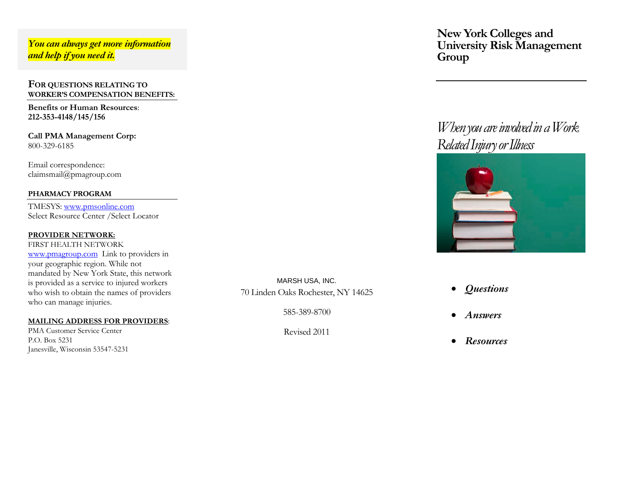### *You can always get more information and help if you need it.*

### **FOR QUESTIONS RELATING TO WORKER'S COMPENSATION BENEFITS:**

**Benefits or Human Resources**: **212-353-4148/145/156**

**Call PMA Management Corp:** 800-329-6185

Email correspondence: claimsmail@pmagroup.com

### **PHARMACY PROGRAM**

TMESYS: [www.pmsonline.com](http://www.pmsonline.com/) Select Resource Center /Select Locator

#### **PROVIDER NETWORK:**

FIRST HEALTH NETWORK [www.pmagroup.com](http://www.pmagroup.com/) Link to providers in your geographic region. While not mandated by New York State, this network is provided as a service to injured workers who wish to obtain the names of providers who can manage injuries.

### **MAILING ADDRESS FOR PROVIDERS** :

PMA Customer Service Center P.O. Box 5231 Janesville, Wisconsin 53547-5231

MARSH USA, INC. 70 Linden Oaks Rochester, NY 14625

585-389-8700

Revised 2011

**New York Colleges and University Risk Management Group**

## *When you are involved in a Work Related Injury or Illness*



- *Questions*
- *Answers*
- *Resources*